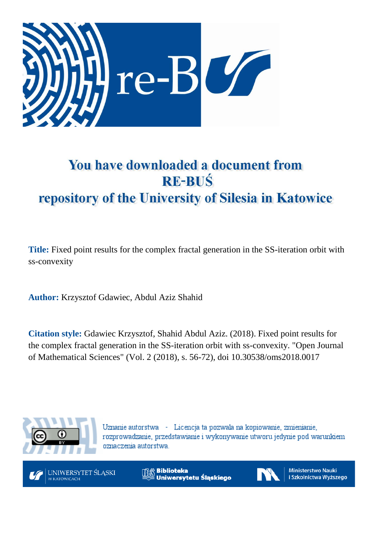

# You have downloaded a document from **RE-BUŚ** repository of the University of Silesia in Katowice

**Title:** Fixed point results for the complex fractal generation in the SS-iteration orbit with ss-convexity

**Author:** Krzysztof Gdawiec, Abdul Aziz Shahid

**Citation style:** Gdawiec Krzysztof, Shahid Abdul Aziz. (2018). Fixed point results for the complex fractal generation in the SS-iteration orbit with ss-convexity. "Open Journal of Mathematical Sciences" (Vol. 2 (2018), s. 56-72), doi 10.30538/oms2018.0017



Uznanie autorstwa - Licencja ta pozwala na kopiowanie, zmienianie, rozprowadzanie, przedstawianie i wykonywanie utworu jedynie pod warunkiem oznaczenia autorstwa.



**Biblioteka** Uniwersytetu Śląskiego



**Ministerstwo Nauki** i Szkolnictwa Wyższego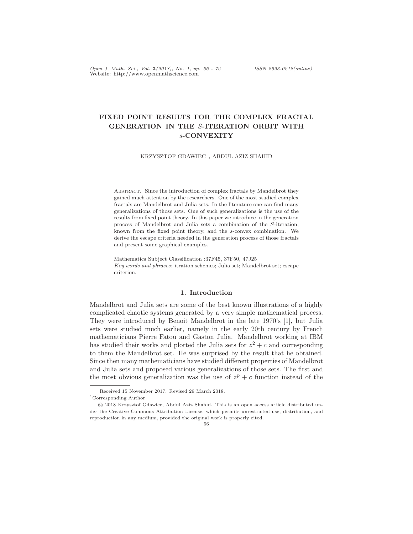Open J. Math. Sci., Vol. 2(2018), No. 1, pp. 56 - 72 ISSN 2523-0212(online) Website: http://www.openmathscience.com

# FIXED POINT RESULTS FOR THE COMPLEX FRACTAL GENERATION IN THE S-ITERATION ORBIT WITH s-CONVEXITY

KRZYSZTOF GDAWIEC<sup>1</sup>, ABDUL AZIZ SHAHID

Abstract. Since the introduction of complex fractals by Mandelbrot they gained much attention by the researchers. One of the most studied complex fractals are Mandelbrot and Julia sets. In the literature one can find many generalizations of those sets. One of such generalizations is the use of the results from fixed point theory. In this paper we introduce in the generation process of Mandelbrot and Julia sets a combination of the S-iteration, known from the fixed point theory, and the s-convex combination. We derive the escape criteria needed in the generation process of those fractals and present some graphical examples.

Mathematics Subject Classification :37F45, 37F50, 47J25 Key words and phrases: itration schemes; Julia set; Mandelbrot set; escape criterion.

#### 1. Introduction

Mandelbrot and Julia sets are some of the best known illustrations of a highly complicated chaotic systems generated by a very simple mathematical process. They were introduced by Benoit Mandelbrot in the late 1970's [1], but Julia sets were studied much earlier, namely in the early 20th century by French mathematicians Pierre Fatou and Gaston Julia. Mandelbrot working at IBM has studied their works and plotted the Julia sets for  $z^2 + c$  and corresponding to them the Mandelbrot set. He was surprised by the result that he obtained. Since then many mathematicians have studied different properties of Mandelbrot and Julia sets and proposed various generalizations of those sets. The first and the most obvious generalization was the use of  $z^p + c$  function instead of the

Received 15 November 2017. Revised 29 March 2018.

 $^1\mathrm{Corresponding}$  Author

c 2018 Krzysztof Gdawiec, Abdul Aziz Shahid. This is an open access article distributed under the Creative Commons Attribution License, which permits unrestricted use, distribution, and reproduction in any medium, provided the original work is properly cited.

<sup>56</sup>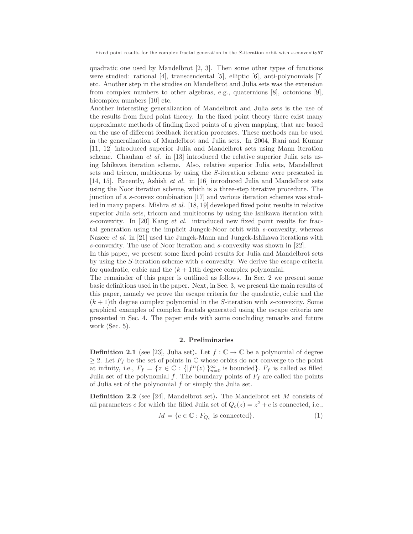quadratic one used by Mandelbrot [2, 3]. Then some other types of functions were studied: rational [4], transcendental [5], elliptic [6], anti-polynomials [7] etc. Another step in the studies on Mandelbrot and Julia sets was the extension from complex numbers to other algebras, e.g., quaternions [8], octonions [9], bicomplex numbers [10] etc.

Another interesting generalization of Mandelbrot and Julia sets is the use of the results from fixed point theory. In the fixed point theory there exist many approximate methods of finding fixed points of a given mapping, that are based on the use of different feedback iteration processes. These methods can be used in the generalization of Mandelbrot and Julia sets. In 2004, Rani and Kumar [11, 12] introduced superior Julia and Mandelbrot sets using Mann iteration scheme. Chauhan *et al.* in [13] introduced the relative superior Julia sets using Ishikawa iteration scheme. Also, relative superior Julia sets, Mandelbrot sets and tricorn, multicorns by using the S-iteration scheme were presented in [14, 15]. Recently, Ashish et al. in [16] introduced Julia and Mandelbrot sets using the Noor iteration scheme, which is a three-step iterative procedure. The junction of a s-convex combination [17] and various iteration schemes was studied in many papers. Mishra et al. [18, 19] developed fixed point results in relative superior Julia sets, tricorn and multicorns by using the Ishikawa iteration with s-convexity. In [20] Kang et al. introduced new fixed point results for fractal generation using the implicit Jungck-Noor orbit with s-convexity, whereas Nazeer *et al.* in [21] used the Jungck-Mann and Jungck-Ishikawa iterations with s-convexity. The use of Noor iteration and s-convexity was shown in [22].

In this paper, we present some fixed point results for Julia and Mandelbrot sets by using the S-iteration scheme with s-convexity. We derive the escape criteria for quadratic, cubic and the  $(k + 1)$ th degree complex polynomial.

The remainder of this paper is outlined as follows. In Sec. 2 we present some basic definitions used in the paper. Next, in Sec. 3, we present the main results of this paper, namely we prove the escape criteria for the quadratic, cubic and the  $(k+1)$ th degree complex polynomial in the S-iteration with s-convexity. Some graphical examples of complex fractals generated using the escape criteria are presented in Sec. 4. The paper ends with some concluding remarks and future work (Sec. 5).

#### 2. Preliminaries

**Definition 2.1** (see [23], Julia set). Let  $f : \mathbb{C} \to \mathbb{C}$  be a polynomial of degree  $\geq 2$ . Let  $F_f$  be the set of points in  $\mathbb C$  whose orbits do not converge to the point at infinity, i.e.,  $F_f = \{z \in \mathbb{C} : \{|f^n(z)|\}_{n=0}^{\infty} \text{ is bounded}\}\.$   $F_f$  is called as filled Julia set of the polynomial f. The boundary points of  $F_f$  are called the points of Julia set of the polynomial f or simply the Julia set.

**Definition 2.2** (see [24], Mandelbrot set). The Mandelbrot set  $M$  consists of all parameters c for which the filled Julia set of  $Q_c(z) = z^2 + c$  is connected, i.e.,

$$
M = \{c \in \mathbb{C} : F_{Q_c} \text{ is connected}\}.
$$
 (1)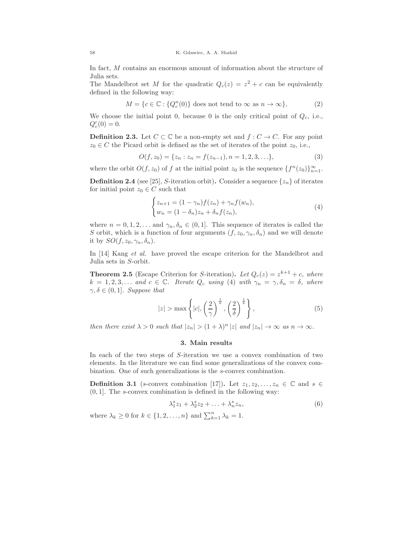In fact, M contains an enormous amount of information about the structure of Julia sets.

The Mandelbrot set M for the quadratic  $Q_c(z) = z^2 + c$  can be equivalently defined in the following way:

$$
M = \{c \in \mathbb{C} : \{Q_c^n(0)\}\text{ does not tend to } \infty \text{ as } n \to \infty\},\tag{2}
$$

We choose the initial point 0, because 0 is the only critical point of  $Q_c$ , i.e.,  $Q'_c(0) = 0.$ 

**Definition 2.3.** Let  $C \subset \mathbb{C}$  be a non-empty set and  $f: C \to C$ . For any point  $z_0 \in C$  the Picard orbit is defined as the set of iterates of the point  $z_0$ , i.e.,

$$
O(f, z_0) = \{z_n : z_n = f(z_{n-1}), n = 1, 2, 3, \ldots\},\tag{3}
$$

where the orbit  $O(f, z_0)$  of f at the initial point  $z_0$  is the sequence  $\{f^n(z_0)\}_{n=1}^{\infty}$ .

**Definition 2.4** (see [25], S-iteration orbit). Consider a sequence  $\{z_n\}$  of iterates for initial point  $z_0 \in C$  such that

$$
\begin{cases} z_{n+1} = (1 - \gamma_n) f(z_n) + \gamma_n f(w_n), \\ w_n = (1 - \delta_n) z_n + \delta_n f(z_n), \end{cases}
$$
 (4)

where  $n = 0, 1, 2, \ldots$  and  $\gamma_n, \delta_n \in (0, 1]$ . This sequence of iterates is called the S orbit, which is a function of four arguments  $(f, z_0, \gamma_n, \delta_n)$  and we will denote it by  $SO(f, z_0, \gamma_n, \delta_n)$ .

In [14] Kang *et al.* have proved the escape criterion for the Mandelbrot and Julia sets in S-orbit.

**Theorem 2.5** (Escape Criterion for S-iteration). Let  $Q_c(z) = z^{k+1} + c$ , where  $k = 1, 2, 3, \ldots$  and  $c \in \mathbb{C}$ . Iterate  $Q_c$  using (4) with  $\gamma_n = \gamma, \delta_n = \delta$ , where  $\gamma, \delta \in (0, 1]$ . Suppose that

$$
|z| > \max\left\{|c|, \left(\frac{2}{\gamma}\right)^{\frac{1}{k}}, \left(\frac{2}{\delta}\right)^{\frac{1}{k}}\right\},\tag{5}
$$

then there exist  $\lambda > 0$  such that  $|z_n| > (1 + \lambda)^n |z|$  and  $|z_n| \to \infty$  as  $n \to \infty$ .

#### 3. Main results

In each of the two steps of S-iteration we use a convex combination of two elements. In the literature we can find some generalizations of the convex combination. One of such generalizations is the s-convex combination.

**Definition 3.1** (s-convex combination [17]). Let  $z_1, z_2, \ldots, z_n \in \mathbb{C}$  and  $s \in \mathbb{C}$  $(0, 1]$ . The s-convex combination is defined in the following way:

$$
\lambda_1^s z_1 + \lambda_2^s z_2 + \ldots + \lambda_n^s z_n,\tag{6}
$$

where  $\lambda_k \geq 0$  for  $k \in \{1, 2, ..., n\}$  and  $\sum_{k=1}^{n} \lambda_k = 1$ .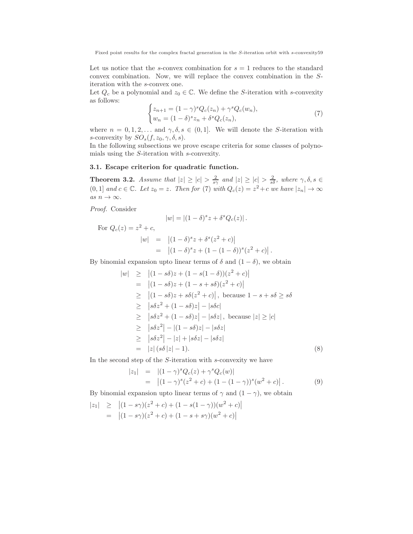Let us notice that the s-convex combination for  $s = 1$  reduces to the standard convex combination. Now, we will replace the convex combination in the Siteration with the s-convex one.

Let  $Q_c$  be a polynomial and  $z_0 \in \mathbb{C}$ . We define the S-iteration with s-convexity as follows:

$$
\begin{cases} z_{n+1} = (1 - \gamma)^s Q_c(z_n) + \gamma^s Q_c(w_n), \\ w_n = (1 - \delta)^s z_n + \delta^s Q_c(z_n), \end{cases}
$$
(7)

where  $n = 0, 1, 2, \ldots$  and  $\gamma, \delta, s \in (0, 1]$ . We will denote the S-iteration with s-convexity by  $SO_s(f, z_0, \gamma, \delta, s)$ .

In the following subsections we prove escape criteria for some classes of polynomials using the S-iteration with s-convexity.

#### 3.1. Escape criterion for quadratic function.

**Theorem 3.2.** Assume that  $|z| \ge |c| > \frac{2}{s\gamma}$  and  $|z| \ge |c| > \frac{2}{s\delta}$ , where  $\gamma, \delta, s \in$  $(0, 1]$  and  $c \in \mathbb{C}$ . Let  $z_0 = z$ . Then for (7) with  $Q_c(z) = z^2 + c$  we have  $|z_n| \to \infty$ as  $n\to\infty.$ 

Proof. Consider

For

$$
|w| = |(1 - \delta)^s z + \delta^s Q_c(z)|.
$$

$$
Q_c(z) = z^2 + c,
$$
  
\n
$$
|w| = |(1 - \delta)^s z + \delta^s (z^2 + c)|
$$
  
\n
$$
= |(1 - \delta)^s z + (1 - (1 - \delta))^s (z^2 + c)|.
$$

By binomial expansion upto linear terms of  $\delta$  and  $(1 - \delta)$ , we obtain

$$
|w| \ge |(1 - s\delta)z + (1 - s(1 - \delta))(z^2 + c)|
$$
  
\n
$$
= |(1 - s\delta)z + (1 - s + s\delta)(z^2 + c)|
$$
  
\n
$$
\ge |(1 - s\delta)z + s\delta(z^2 + c)|, \text{ because } 1 - s + s\delta \ge s\delta
$$
  
\n
$$
\ge |s\delta z^2 + (1 - s\delta)z| - |s\delta c|
$$
  
\n
$$
\ge |s\delta z^2 + (1 - s\delta)z| - |s\delta z|, \text{ because } |z| \ge |c|
$$
  
\n
$$
\ge |s\delta z^2| - |(1 - s\delta)z| - |s\delta z|
$$
  
\n
$$
\ge |s\delta z^2| - |z| + |s\delta z| - |s\delta z|
$$
  
\n
$$
= |z| (s\delta |z| - 1).
$$
 (8)

In the second step of the  $S$ -iteration with  $s$ -convexity we have

$$
\begin{array}{rcl}\n|z_1| & = & |(1-\gamma)^s Q_c(z) + \gamma^s Q_c(w)| \\
& = & |(1-\gamma)^s (z^2 + c) + (1 - (1-\gamma))^s (w^2 + c)|\,. \tag{9}\n\end{array}
$$

By binomial expansion upto linear terms of  $\gamma$  and  $(1 - \gamma)$ , we obtain

$$
|z_1| \ge |(1 - s\gamma)(z^2 + c) + (1 - s(1 - \gamma))(w^2 + c)|
$$
  
=  $|(1 - s\gamma)(z^2 + c) + (1 - s + s\gamma)(w^2 + c)|$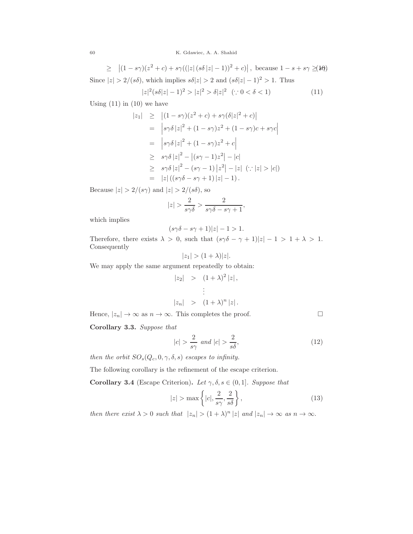$\geq \left| (1 - s\gamma)(z^2 + c) + s\gamma((|z| (s\delta |z| - 1))^2 + c) \right|, \text{ because } 1 - s + s\gamma \geq (1 + \delta)$ Since  $|z| > 2/(s\delta)$ , which implies  $s\delta |z| > 2$  and  $(s\delta |z| - 1)^2 > 1$ . Thus

$$
|z|^2(s\delta|z|-1)^2 > |z|^2 > \delta|z|^2 \quad (\because 0 < \delta < 1)
$$
 (11)

Using  $(11)$  in  $(10)$  we have

$$
|z_{1}| \geq |(1 - s\gamma)(z^{2} + c) + s\gamma(\delta|z|^{2} + c)|
$$
  
\n
$$
= |s\gamma\delta|z|^{2} + (1 - s\gamma)z^{2} + (1 - s\gamma)c + s\gamma c|
$$
  
\n
$$
= |s\gamma\delta|z|^{2} + (1 - s\gamma)z^{2} + c|
$$
  
\n
$$
\geq s\gamma\delta|z|^{2} - |(s\gamma - 1)z^{2}| - |c|
$$
  
\n
$$
\geq s\gamma\delta|z|^{2} - (s\gamma - 1)|z^{2}| - |z| \quad (\because |z| > |c|)
$$
  
\n
$$
= |z| ((s\gamma\delta - s\gamma + 1)|z| - 1).
$$

Because  $|z| > 2/(s\gamma)$  and  $|z| > 2/(s\delta)$ , so

$$
|z| > \frac{2}{s\gamma\delta} > \frac{2}{s\gamma\delta - s\gamma + 1},
$$

which implies

$$
(s\gamma\delta - s\gamma + 1)|z| - 1 > 1.
$$

Therefore, there exists  $\lambda > 0$ , such that  $(s\gamma\delta - \gamma + 1)|z| - 1 > 1 + \lambda > 1$ . Consequently

$$
|z_1| > (1+\lambda)|z|.
$$

We may apply the same argument repeatedly to obtain:

$$
|z_2| > (1+\lambda)^2 |z|,
$$
  
\n
$$
\vdots
$$
  
\n
$$
|z_n| > (1+\lambda)^n |z|.
$$

Hence,  $|z_n| \to \infty$  as  $n \to \infty$ . This completes the proof.

Corollary 3.3. Suppose that

$$
|c| > \frac{2}{s\gamma} \text{ and } |c| > \frac{2}{s\delta},\tag{12}
$$

then the orbit  $SO_s(Q_c, 0, \gamma, \delta, s)$  escapes to infinity.

The following corollary is the refinement of the escape criterion.

Corollary 3.4 (Escape Criterion). Let  $\gamma, \delta, s \in (0, 1]$ . Suppose that

$$
|z| > \max\left\{|c|, \frac{2}{s\gamma}, \frac{2}{s\delta}\right\},\tag{13}
$$

then there exist  $\lambda > 0$  such that  $|z_n| > (1 + \lambda)^n |z|$  and  $|z_n| \to \infty$  as  $n \to \infty$ .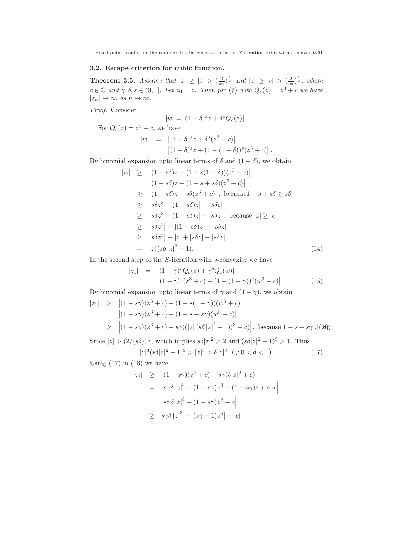# 3.2. Escape criterion for cubic function.

**Theorem 3.5.** Assume that  $|z| \ge |c| > (\frac{2}{s\gamma})^{\frac{1}{2}}$  and  $|z| \ge |c| > (\frac{2}{s\delta})^{\frac{1}{2}}$ , where  $c \in \mathbb{C}$  and  $\gamma, \delta, s \in (0,1]$ . Let  $z_0 = z$ . Then for (7) with  $Q_c(z) = z^3 + c$  we have  $|z_n| \to \infty$  as  $n \to \infty$ .

Proof. Consider

$$
|w| = |(1-\delta)^s z + \delta^s Q_c(z)|.
$$

For  $Q_c(z) = z^3 + c$ , we have

$$
|w| = |(1 - \delta)^s z + \delta^s (z^3 + c)|
$$
  
=  $|(1 - \delta)^s z + (1 - (1 - \delta))^s (z^3 + c)|.$ 

By binomial expansion upto linear terms of  $\delta$  and  $(1 - \delta)$ , we obtain

$$
|w| \ge |(1 - s\delta)z + (1 - s(1 - \delta))(z^3 + c)|
$$
  
\n
$$
= |(1 - s\delta)z + (1 - s + s\delta)(z^3 + c)|
$$
  
\n
$$
\ge |(1 - s\delta)z + s\delta(z^3 + c)|, \text{ because } 1 - s + s\delta \ge s\delta
$$
  
\n
$$
\ge |s\delta z^3 + (1 - s\delta)z| - |s\delta c|
$$
  
\n
$$
\ge |s\delta z^3 + (1 - s\delta)z| - |s\delta z|, \text{ because } |z| \ge |c|
$$
  
\n
$$
\ge |s\delta z^3| - |(1 - s\delta)z| - |s\delta z|
$$
  
\n
$$
\ge |s\delta z^3| - |z| + |s\delta z| - |s\delta z|
$$
  
\n
$$
= |z| (s\delta |z|^2 - 1).
$$
 (14)

In the second step of the  $S$ -iteration with  $s$ -convexity we have

$$
\begin{array}{rcl}\n|z_1| & = & |(1 - \gamma)^s Q_c(z) + \gamma^s Q_c(w)| \\
& = & |(1 - \gamma)^s (z^3 + c) + (1 - (1 - \gamma))^s (w^3 + c)|\,. \tag{15}\n\end{array}
$$

By binomial expansion upto linear terms of  $\gamma$  and  $(1 - \gamma)$ , we obtain

$$
\begin{array}{rcl}\n|z_1| & \geq & \left| (1 - s\gamma)(z^3 + c) + (1 - s(1 - \gamma))(w^3 + c) \right| \\
& = & \left| (1 - s\gamma)(z^3 + c) + (1 - s + s\gamma)(w^3 + c) \right| \\
& \geq & \left| (1 - s\gamma)(z^3 + c) + s\gamma((|z| \left( s\delta |z|^2 - 1) \right)^3 + c) \right|, \text{ because } 1 - s + s\gamma \geq 0. \n\end{array}
$$

Since  $|z| > (2/(s\delta))^{\frac{1}{2}}$ , which implies  $s\delta |z|^2 > 2$  and  $(s\delta |z|^2 - 1)^3 > 1$ . Thus

$$
|z|^3 (s\delta |z|^2 - 1)^3 > |z|^3 > \delta |z|^3 \quad (\because 0 < \delta < 1). \tag{17}
$$

Using  $(17)$  in  $(16)$  we have

$$
|z_1| \ge |(1 - s\gamma)(z^3 + c) + s\gamma(\delta|z|^3 + c)|
$$
  
=  $|s\gamma\delta|z|^3 + (1 - s\gamma)z^3 + (1 - s\gamma)c + s\gamma c|$   
=  $|s\gamma\delta|z|^3 + (1 - s\gamma)z^3 + c|$   
 $\ge s\gamma\delta|z|^3 - |(s\gamma - 1)z^3| - |c|$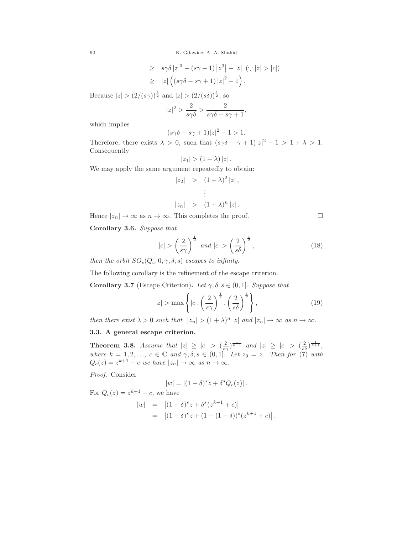$$
\geq s\gamma\delta |z|^3 - (s\gamma - 1)|z^3| - |z| \quad (\because |z| > |c|)
$$
  
\n
$$
\geq |z| ((s\gamma\delta - s\gamma + 1)|z|^2 - 1).
$$

Because  $|z| > (2/(s\gamma))^{\frac{1}{2}}$  and  $|z| > (2/(s\delta))^{\frac{1}{2}}$ , so

$$
|z|^2 > \frac{2}{s\gamma\delta} > \frac{2}{s\gamma\delta - s\gamma + 1},
$$

which implies

$$
(s\gamma\delta - s\gamma + 1)|z|^2 - 1 > 1.
$$

Therefore, there exists  $\lambda > 0$ , such that  $(s\gamma\delta - \gamma + 1)|z|^2 - 1 > 1 + \lambda > 1$ . Consequently

$$
|z_1| > (1+\lambda) |z|.
$$

We may apply the same argument repeatedly to obtain:

$$
|z_2| > (1+\lambda)^2 |z|,
$$
  
\n
$$
\vdots
$$
  
\n
$$
|z_n| > (1+\lambda)^n |z|.
$$

Hence  $|z_n| \to \infty$  as  $n \to \infty$ . This completes the proof.

Corollary 3.6. Suppose that

$$
|c| > \left(\frac{2}{s\gamma}\right)^{\frac{1}{2}} \text{ and } |c| > \left(\frac{2}{s\delta}\right)^{\frac{1}{2}},\tag{18}
$$

then the orbit  $SO_s(Q_c, 0, \gamma, \delta, s)$  escapes to infinity.

The following corollary is the refinement of the escape criterion.

Corollary 3.7 (Escape Criterion). Let  $\gamma, \delta, s \in (0,1]$ . Suppose that

$$
|z| > \max\left\{|c|, \left(\frac{2}{s\gamma}\right)^{\frac{1}{2}}, \left(\frac{2}{s\delta}\right)^{\frac{1}{2}}\right\},\tag{19}
$$

then there exist  $\lambda > 0$  such that  $|z_n| > (1 + \lambda)^n |z|$  and  $|z_n| \to \infty$  as  $n \to \infty$ .

### 3.3. A general escape criterion.

**Theorem 3.8.** Assume that  $|z| \ge |c| > (\frac{2}{s\gamma})^{\frac{1}{k+1}}$  and  $|z| \ge |c| > (\frac{2}{s\delta})^{\frac{1}{k+1}}$ , where  $k = 1, 2, \ldots, c \in \mathbb{C}$  and  $\gamma, \delta, s \in (0, 1]$ . Let  $z_0 = z$ . Then for (7) with  $Q_c(z) = z^{k+1} + c$  we have  $|z_n| \to \infty$  as  $n \to \infty$ .

Proof. Consider

$$
|w| = |(1 - \delta)^s z + \delta^s Q_c(z)|.
$$

For  $Q_c(z) = z^{k+1} + c$ , we have

$$
|w| = |(1 - \delta)^s z + \delta^s (z^{k+1} + c)|
$$
  
=  $|(1 - \delta)^s z + (1 - (1 - \delta))^s (z^{k+1} + c)|$ .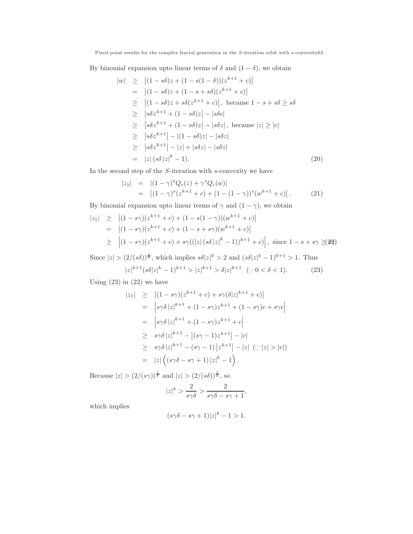By binomial expansion upto linear terms of  $\delta$  and  $(1 - \delta)$ , we obtain

$$
|w| \ge |(1 - s\delta)z + (1 - s(1 - \delta))(z^{k+1} + c)|
$$
  
\n
$$
= |(1 - s\delta)z + (1 - s + s\delta)(z^{k+1} + c)|
$$
  
\n
$$
\ge |(1 - s\delta)z + s\delta(z^{k+1} + c)|, \text{ because } 1 - s + s\delta \ge s\delta
$$
  
\n
$$
\ge |s\delta z^{k+1} + (1 - s\delta)z| - |s\delta c|
$$
  
\n
$$
\ge |s\delta z^{k+1} + (1 - s\delta)z| - |s\delta z|, \text{ because } |z| \ge |c|
$$
  
\n
$$
\ge |s\delta z^{k+1}| - |(1 - s\delta)z| - |s\delta z|
$$
  
\n
$$
\ge |s\delta z^{k+1}| - |z| + |s\delta z| - |s\delta z|
$$
  
\n
$$
= |z| (s\delta |z|^k - 1).
$$
 (20)

In the second step of the S-iteration with s-convexity we have

$$
|z_1| = |(1 - \gamma)^s Q_c(z) + \gamma^s Q_c(w)|
$$
  
= 
$$
|(1 - \gamma)^s (z^{k+1} + c) + (1 - (1 - \gamma))^s (w^{k+1} + c)|.
$$
 (21)

By binomial expansion upto linear terms of  $\gamma$  and  $(1 - \gamma)$ , we obtain

$$
\begin{aligned}\n|z_1| &\geq |(1-s\gamma)(z^{k+1}+c) + (1-s(1-\gamma))(w^{k+1}+c)| \\
&= |(1-s\gamma)(z^{k+1}+c) + (1-s+s\gamma)(w^{k+1}+c)| \\
&\geq |(1-s\gamma)(z^{k+1}+c) + s\gamma((|z|\left(s\delta\,|z|^k-1\right))^{k+1}+c)|, \text{ since } 1-s+s\gamma \geq 22)\n\end{aligned}
$$

Since  $|z| > (2/(s\delta))^{\frac{1}{k}}$ , which implies  $s\delta |z|^k > 2$  and  $(s\delta |z|^k - 1)^{k+1} > 1$ . Thus

$$
|z|^{k+1} (s\delta |z|^k - 1)^{k+1} > |z|^{k+1} > \delta |z|^{k+1} \quad (\because 0 < \delta < 1). \tag{23}
$$

Using  $(23)$  in  $(22)$  we have

$$
\begin{array}{rcl}\n|z_1| & \geq & \left| (1 - s\gamma)(z^{k+1} + c) + s\gamma(\delta|z|^{k+1} + c) \right| \\
& = & \left| s\gamma\delta\, |z|^{k+1} + (1 - s\gamma)z^{k+1} + (1 - s\gamma)c + s\gamma c \right| \\
& = & \left| s\gamma\delta\, |z|^{k+1} + (1 - s\gamma)z^{k+1} + c \right| \\
& \geq & s\gamma\delta\, |z|^{k+1} - |(s\gamma - 1)z^{k+1}| - |c| \\
& \geq & s\gamma\delta\, |z|^{k+1} - (s\gamma - 1)\, |z^{k+1}| - |z| \ (\because |z| > |c|) \\
& = & |z| \left( (s\gamma\delta - s\gamma + 1) \, |z|^k - 1 \right).\n\end{array}
$$

Because  $|z| > (2/(s\gamma))^{\frac{1}{k}}$  and  $|z| > (2/(s\delta))^{\frac{1}{k}}$ , so

$$
|z|^k > \frac{2}{s\gamma\delta} > \frac{2}{s\gamma\delta - s\gamma + 1},
$$

which implies

$$
(s\gamma\delta - s\gamma + 1)|z|^k - 1 > 1.
$$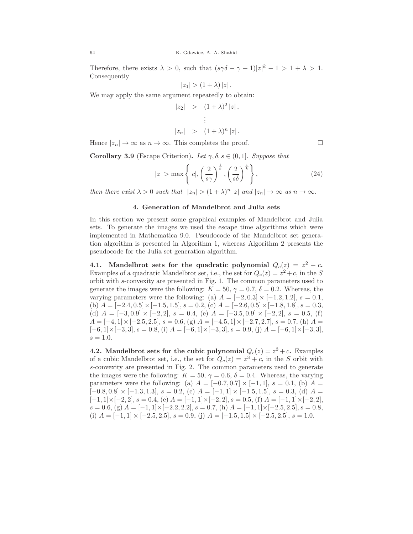Therefore, there exists  $\lambda > 0$ , such that  $(s\gamma\delta - \gamma + 1)|z|^k - 1 > 1 + \lambda > 1$ . Consequently

$$
|z_1| > (1+\lambda) |z|.
$$

We may apply the same argument repeatedly to obtain:

$$
|z_2| > (1+\lambda)^2 |z|,
$$
  
\n
$$
\vdots
$$
  
\n
$$
|z_n| > (1+\lambda)^n |z|.
$$

Hence  $|z_n| \to \infty$  as  $n \to \infty$ . This completes the proof.

Corollary 3.9 (Escape Criterion). Let  $\gamma, \delta, s \in (0,1]$ . Suppose that

$$
|z| > \max\left\{|c|, \left(\frac{2}{s\gamma}\right)^{\frac{1}{k}}, \left(\frac{2}{s\delta}\right)^{\frac{1}{k}}\right\},\tag{24}
$$

then there exist  $\lambda > 0$  such that  $|z_n| > (1 + \lambda)^n |z|$  and  $|z_n| \to \infty$  as  $n \to \infty$ .

### 4. Generation of Mandelbrot and Julia sets

In this section we present some graphical examples of Mandelbrot and Julia sets. To generate the images we used the escape time algorithms which were implemented in Mathematica 9.0. Pseudocode of the Mandelbrot set generation algorithm is presented in Algorithm 1, whereas Algorithm 2 presents the pseudocode for the Julia set generation algorithm.

4.1. Mandelbrot sets for the quadratic polynomial  $Q_c(z) = z^2 + c$ . Examples of a quadratic Mandelbrot set, i.e., the set for  $Q_c(z) = z^2 + c$ , in the S orbit with s-convexity are presented in Fig. 1. The common parameters used to generate the images were the following:  $K = 50, \gamma = 0.7, \delta = 0.2$ . Whereas, the varying parameters were the following: (a)  $A = [-2, 0.3] \times [-1.2, 1.2], s = 0.1$ , (b)  $A = [-2.4, 0.5] \times [-1.5, 1.5], s = 0.2,$  (c)  $A = [-2.6, 0.5] \times [-1.8, 1.8], s = 0.3,$ (d)  $A = [-3, 0.9] \times [-2, 2], s = 0.4,$  (e)  $A = [-3.5, 0.9] \times [-2, 2], s = 0.5,$  (f)  $A = [-4, 1] \times [-2.5, 2.5], s = 0.6, (g)$   $A = [-4.5, 1] \times [-2.7, 2.7], s = 0.7, (h)$   $A =$  $[-6, 1] \times [-3, 3], s = 0.8,$  (i)  $A = [-6, 1] \times [-3, 3], s = 0.9,$  (j)  $A = [-6, 1] \times [-3, 3],$  $s = 1.0$ .

**4.2.** Mandelbrot sets for the cubic polynomial  $Q_c(z) = z^3 + c$ . Examples of a cubic Mandelbrot set, i.e., the set for  $Q_c(z) = z^3 + c$ , in the S orbit with s-convexity are presented in Fig. 2. The common parameters used to generate the images were the following:  $K = 50, \gamma = 0.6, \delta = 0.4$ . Whereas, the varying parameters were the following: (a)  $A = [-0.7, 0.7] \times [-1, 1], s = 0.1,$  (b)  $A =$  $[-0.8, 0.8] \times [-1.3, 1.3], s = 0.2, (c)$   $A = [-1, 1] \times [-1.5, 1.5], s = 0.3, (d)$   $A =$  $[-1, 1] \times [-2, 2], s = 0.4, (e)$   $A = [-1, 1] \times [-2, 2], s = 0.5, (f)$   $A = [-1, 1] \times [-2, 2],$  $s = 0.6$ , (g)  $A = [-1, 1] \times [-2.2, 2.2]$ ,  $s = 0.7$ , (h)  $A = [-1, 1] \times [-2.5, 2.5]$ ,  $s = 0.8$ , (i)  $A = [-1, 1] \times [-2.5, 2.5], s = 0.9,$  (j)  $A = [-1.5, 1.5] \times [-2.5, 2.5], s = 1.0.$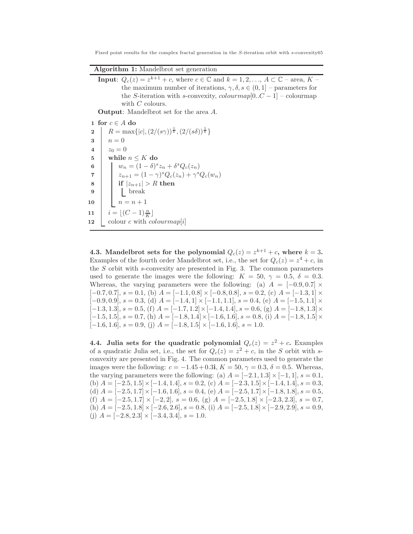Fixed point results for the complex fractal generation in the S-iteration orbit with s-convexity65

| <b>Algorithm 1:</b> Mandelbrot set generation |  |  |  |  |
|-----------------------------------------------|--|--|--|--|
|-----------------------------------------------|--|--|--|--|

**Input:**  $Q_c(z) = z^{k+1} + c$ , where  $c \in \mathbb{C}$  and  $k = 1, 2, ..., A \subset \mathbb{C}$  – area,  $K$  – the maximum number of iterations,  $\gamma, \delta, s \in (0, 1]$  – parameters for the S-iteration with s-convexity,  $colourmap[0..C-1]$  – colourmap with C colours.

Output: Mandelbrot set for the area A.

1 for  $c \in A$  do 2 |  $R = \max\{|c|, (2/(s\gamma))^{\frac{1}{k}}, (2/(s\delta))^{\frac{1}{k}}\}\$  $3 \mid n = 0$ 4  $z_0 = 0$ 5 while  $n \leq K$  do 6  $w_n = (1 - \delta)^s z_n + \delta^s Q_c(z_n)$ 7  $z_{n+1} = (1 - \gamma)^s Q_c(z_n) + \gamma^s Q_c(w_n)$ 8 if  $|z_{n+1}| > R$  then 9 break 10  $n = n + 1$ 11  $i = \lfloor (C-1) \frac{n}{K} \rfloor$ 12 colour c with  $colourmap[i]$ 

4.3. Mandelbrot sets for the polynomial  $Q_c(z) = z^{k+1} + c$ , where  $k = 3$ . Examples of the fourth order Mandelbrot set, i.e., the set for  $Q_c(z) = z^4 + c$ , in the  $S$  orbit with s-convexity are presented in Fig. 3. The common parameters used to generate the images were the following:  $K = 50, \gamma = 0.5, \delta = 0.3$ . Whereas, the varying parameters were the following: (a)  $A = [-0.9, 0.7] \times$  $[-0.7, 0.7], s = 0.1,$  (b)  $A = [-1.1, 0.8] \times [-0.8, 0.8], s = 0.2,$  (c)  $A = [-1.3, 1] \times$  $[-0.9, 0.9], s = 0.3,$  (d)  $A = [-1.4, 1] \times [-1.1, 1.1], s = 0.4,$  (e)  $A = [-1.5, 1.1] \times$  $[-1.3, 1.3], s = 0.5, (f)$   $A = [-1.7, 1.2] \times [-1.4, 1.4], s = 0.6, (g)$   $A = [-1.8, 1.3] \times$  $[-1.5, 1.5], s = 0.7, (h) A = [-1.8, 1.4] \times [-1.6, 1.6], s = 0.8, (i) A = [-1.8, 1.5] \times$  $[-1.6, 1.6], s = 0.9, (j)$   $A = [-1.8, 1.5] \times [-1.6, 1.6], s = 1.0.$ 

4.4. Julia sets for the quadratic polynomial  $Q_c(z) = z^2 + c$ . Examples of a quadratic Julia set, i.e., the set for  $Q_c(z) = z^2 + c$ , in the S orbit with sconvexity are presented in Fig. 4. The common parameters used to generate the images were the following:  $c = -1.45 + 0.3$ i,  $K = 50$ ,  $\gamma = 0.3$ ,  $\delta = 0.5$ . Whereas, the varying parameters were the following: (a)  $A = [-2.1, 1.3] \times [-1, 1]$ ,  $s = 0.1$ , (b)  $A = [-2.5, 1.5] \times [-1.4, 1.4], s = 0.2,$  (c)  $A = [-2.3, 1.5] \times [-1.4, 1.4], s = 0.3,$ (d)  $A = [-2.5, 1.7] \times [-1.6, 1.6]$ ,  $s = 0.4$ , (e)  $A = [-2.5, 1.7] \times [-1.8, 1.8]$ ,  $s = 0.5$ , (f)  $A = [-2.5, 1.7] \times [-2, 2]$ ,  $s = 0.6$ , (g)  $A = [-2.5, 1.8] \times [-2.3, 2.3]$ ,  $s = 0.7$ , (h)  $A = [-2.5, 1.8] \times [-2.6, 2.6], s = 0.8$ , (i)  $A = [-2.5, 1.8] \times [-2.9, 2.9], s = 0.9$ , (j)  $A = [-2.8, 2.3] \times [-3.4, 3.4], s = 1.0.$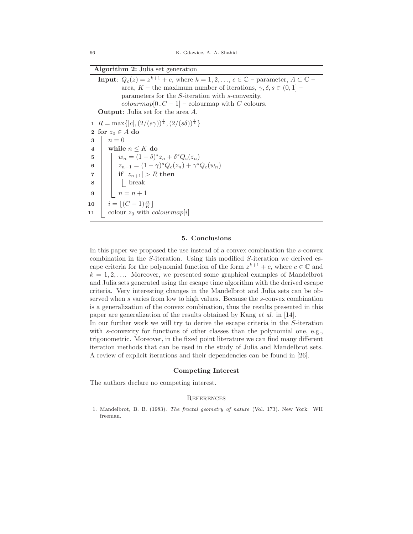| Algorithm 2: Julia set generation |  |  |  |  |
|-----------------------------------|--|--|--|--|
|-----------------------------------|--|--|--|--|

|                | <b>Input:</b> $Q_c(z) = z^{k+1} + c$ , where $k = 1, 2, , c \in \mathbb{C}$ – parameter, $A \subset \mathbb{C}$ –                                                                                                      |
|----------------|------------------------------------------------------------------------------------------------------------------------------------------------------------------------------------------------------------------------|
|                | area, K – the maximum number of iterations, $\gamma, \delta, s \in (0,1]$ –                                                                                                                                            |
|                | parameters for the $S$ -iteration with $s$ -convexity,                                                                                                                                                                 |
|                | $colourmap[0C-1]$ – colourmap with C colours.                                                                                                                                                                          |
|                | <b>Output:</b> Julia set for the area A.                                                                                                                                                                               |
|                | 1 $R = \max\{ c , (2/(s\gamma))^{\frac{1}{k}}, (2/(s\delta))^{\frac{1}{k}}\}\$                                                                                                                                         |
|                | 2 for $z_0 \in A$ do                                                                                                                                                                                                   |
| 3 <sup>1</sup> | $n=0$                                                                                                                                                                                                                  |
| $\overline{4}$ | while $n \leq K$ do                                                                                                                                                                                                    |
| $5^{\circ}$    |                                                                                                                                                                                                                        |
| 6              | $\left  \begin{array}{c} \vspace{2mm} w_n = \overline{(1-\delta)^s} z_n + \delta^s Q_c(z_n) \\ z_{n+1} = (1-\gamma)^s Q_c(z_n) + \gamma^s Q_c(w_n) \\ \quad \text{if }  z_{n+1}  > R \text{ then} \end{array} \right.$ |
| $\overline{7}$ |                                                                                                                                                                                                                        |
| 8              | $\vert \vert$   break                                                                                                                                                                                                  |
| 9              | $n = n + 1$                                                                                                                                                                                                            |
|                | 10 $i = \lfloor (C-1)\frac{n}{K} \rfloor$                                                                                                                                                                              |
| 11             | colour $z_0$ with <i>colourmap</i> [ <i>i</i> ]                                                                                                                                                                        |
|                |                                                                                                                                                                                                                        |

#### 5. Conclusions

In this paper we proposed the use instead of a convex combination the s-convex combination in the S-iteration. Using this modified S-iteration we derived escape criteria for the polynomial function of the form  $z^{k+1} + c$ , where  $c \in \mathbb{C}$  and  $k = 1, 2, \ldots$  Moreover, we presented some graphical examples of Mandelbrot and Julia sets generated using the escape time algorithm with the derived escape criteria. Very interesting changes in the Mandelbrot and Julia sets can be observed when s varies from low to high values. Because the s-convex combination is a generalization of the convex combination, thus the results presented in this paper are generalization of the results obtained by Kang et al. in [14]. In our further work we will try to derive the escape criteria in the S-iteration with s-convexity for functions of other classes than the polynomial one, e.g., trigonometric. Moreover, in the fixed point literature we can find many different

iteration methods that can be used in the study of Julia and Mandelbrot sets. A review of explicit iterations and their dependencies can be found in [26].

# Competing Interest

The authors declare no competing interest.

#### **REFERENCES**

1. Mandelbrot, B. B. (1983). The fractal geometry of nature (Vol. 173). New York: WH freeman.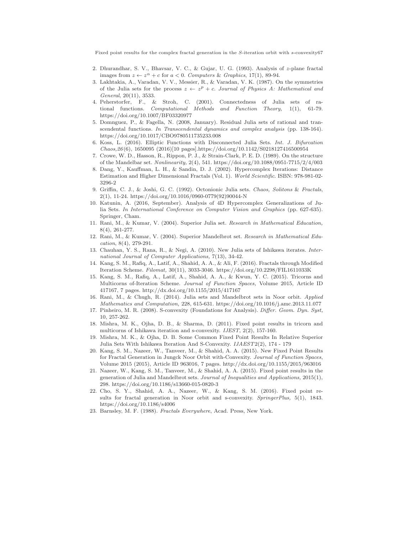- 2. Dhurandhar, S. V., Bhavsar, V. C., & Gujar, U. G. (1993). Analysis of z-plane fractal images from  $z \leftarrow z^{\alpha} + c$  for  $a < 0$ . Computers & Graphics, 17(1), 89-94.
- 3. Lakhtakia, A., Varadan, V. V., Messier, R., & Varadan, V. K. (1987). On the symmetries of the Julia sets for the process  $z \leftarrow z^p + c$ . Journal of Physics A: Mathematical and General, 20(11), 3533.
- 4. Peherstorfer, F., & Stroh, C. (2001). Connectedness of Julia sets of rational functions. Computational Methods and Function Theory, 1(1), 61-79. https://doi.org/10.1007/BF03320977
- 5. Domnguez, P., & Fagella, N. (2008, January). Residual Julia sets of rational and transcendental functions. In Transcendental dynamics and complex analysis (pp. 138-164). https://doi.org/10.1017/CBO9780511735233.008
- 6. Koss, L. (2016). Elliptic Functions with Disconnected Julia Sets. Int. J. Bifurcation Chaos,26(6), 1650095 (2016)[10 pages].https://doi.org/10.1142/S0218127416500954
- 7. Crowe, W. D., Hasson, R., Rippon, P. J., & Strain-Clark, P. E. D. (1989). On the structure of the Mandelbar set.  $Nonlinearity,$   $2(4),$   $541.\rm~https://doi.org/10.1088/0951-7715/2/4/003$
- 8. Dang, Y., Kauffman, L. H., & Sandin, D. J. (2002). Hypercomplex Iterations: Distance Estimation and Higher Dimensional Fractals (Vol. 1). World Scientific. ISBN: 978-981-02- 3296-2
- 9. Griffin, C. J., & Joshi, G. C. (1992). Octonionic Julia sets. Chaos, Solitons & Fractals, 2(1), 11-24. https://doi.org/10.1016/0960-0779(92)90044-N
- 10. Katunin, A. (2016, September). Analysis of 4D Hypercomplex Generalizations of Julia Sets. In International Conference on Computer Vision and Graphics (pp. 627-635). Springer, Cham.
- 11. Rani, M., & Kumar, V. (2004). Superior Julia set. Research in Mathematical Education, 8(4), 261-277.
- 12. Rani, M., & Kumar, V. (2004). Superior Mandelbrot set. Research in Mathematical Education, 8(4), 279-291.
- 13. Chauhan, Y. S., Rana, R., & Negi, A. (2010). New Julia sets of Ishikawa iterates. International Journal of Computer Applications, 7(13), 34-42.
- 14. Kang, S. M., Rafiq, A., Latif, A., Shahid, A. A., & Ali, F. (2016). Fractals through Modified Iteration Scheme. Filomat, 30(11), 3033-3046. https://doi.org/10.2298/FIL1611033K
- 15. Kang, S. M., Rafiq, A., Latif, A., Shahid, A. A., & Kwun, Y. C. (2015). Tricorns and Multicorns of-Iteration Scheme. Journal of Function Spaces, Volume 2015, Article ID 417167, 7 pages. http://dx.doi.org/10.1155/2015/417167
- 16. Rani, M., & Chugh, R. (2014). Julia sets and Mandelbrot sets in Noor orbit. Applied Mathematics and Computation, 228, 615-631. https://doi.org/10.1016/j.amc.2013.11.077
- 17. Pinheiro, M. R. (2008). S-convexity (Foundations for Analysis). Differ. Geom. Dyn. Syst, 10, 257-262.
- 18. Mishra, M. K., Ojha, D. B., & Sharma, D. (2011). Fixed point results in tricorn and multicorns of Ishikawa iteration and s-convexity. IJEST, 2(2), 157-160.
- 19. Mishra, M. K., & Ojha, D. B. Some Common Fixed Point Results In Relative Superior Julia Sets With Ishikawa Iteration And S-Convexity. IJAEST2(2), 174 - 179
- 20. Kang, S. M., Nazeer, W., Tanveer, M., & Shahid, A. A. (2015). New Fixed Point Results for Fractal Generation in Jungck Noor Orbit with-Convexity. Journal of Function Spaces, Volume 2015 (2015), Article ID 963016, 7 pages. http://dx.doi.org/10.1155/2015/963016
- 21. Nazeer, W., Kang, S. M., Tanveer, M., & Shahid, A. A. (2015). Fixed point results in the generation of Julia and Mandelbrot sets. Journal of Inequalities and Applications, 2015(1), 298. https://doi.org/10.1186/s13660-015-0820-3
- 22. Cho, S. Y., Shahid, A. A., Nazeer, W., & Kang, S. M. (2016). Fixed point results for fractal generation in Noor orbit and s-convexity. SpringerPlus, 5(1), 1843. https://doi.org/10.1186/s4006
- 23. Barnsley, M. F. (1988). Fractals Everywhere, Acad. Press, New York.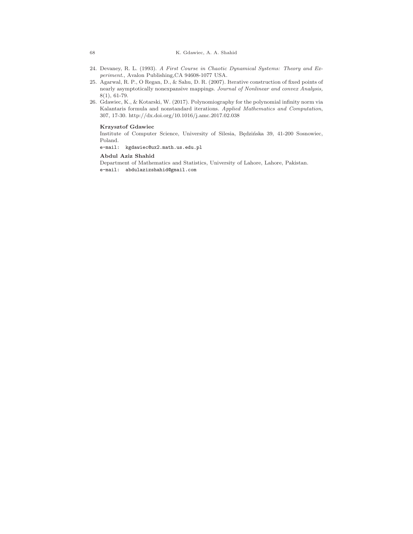- 24. Devaney, R. L. (1993). A First Course in Chaotic Dynamical Systems: Theory and Experiment., Avalon Publishing,CA 94608-1077 USA.
- 25. Agarwal, R. P., O Regan, D., & Sahu, D. R. (2007). Iterative construction of fixed points of nearly asymptotically nonexpansive mappings. Journal of Nonlinear and convex Analysis, 8(1), 61-79.
- 26. Gdawiec, K., & Kotarski, W. (2017). Polynomiography for the polynomial infinity norm via Kalantaris formula and nonstandard iterations. Applied Mathematics and Computation, 307, 17-30. http://dx.doi.org/10.1016/j.amc.2017.02.038

#### Krzysztof Gdawiec

Institute of Computer Science, University of Silesia, Będzińska 39, 41-200 Sosnowiec, Poland.

e-mail: kgdawiec@ux2.math.us.edu.pl

#### Abdul Aziz Shahid

Department of Mathematics and Statistics, University of Lahore, Lahore, Pakistan. e-mail: abdulazizshahid@gmail.com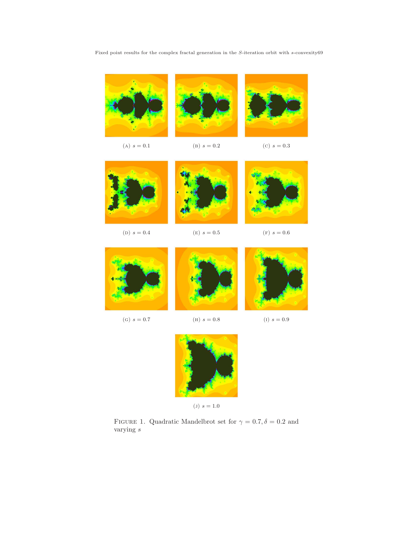

FIGURE 1. Quadratic Mandelbrot set for  $\gamma=0.7, \delta=0.2$  and varying  $\boldsymbol{s}$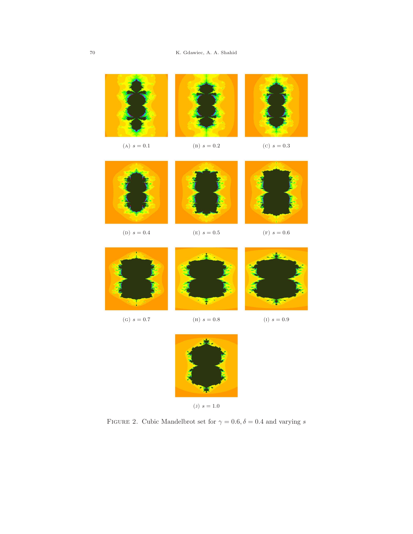

FIGURE 2. Cubic Mandelbrot set for  $\gamma=0.6, \delta=0.4$  and varying  $s$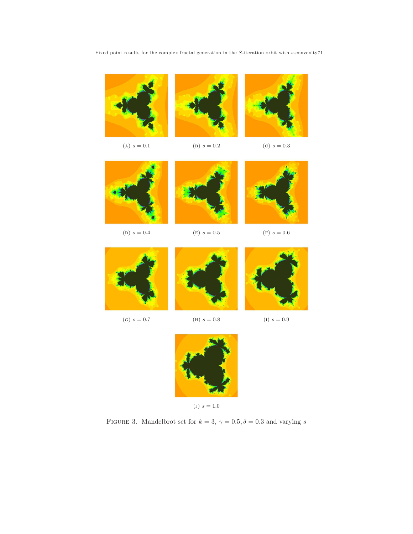

FIGURE 3. Mandelbrot set for  $k=3,$   $\gamma=0.5, \delta=0.3$  and varying  $s$